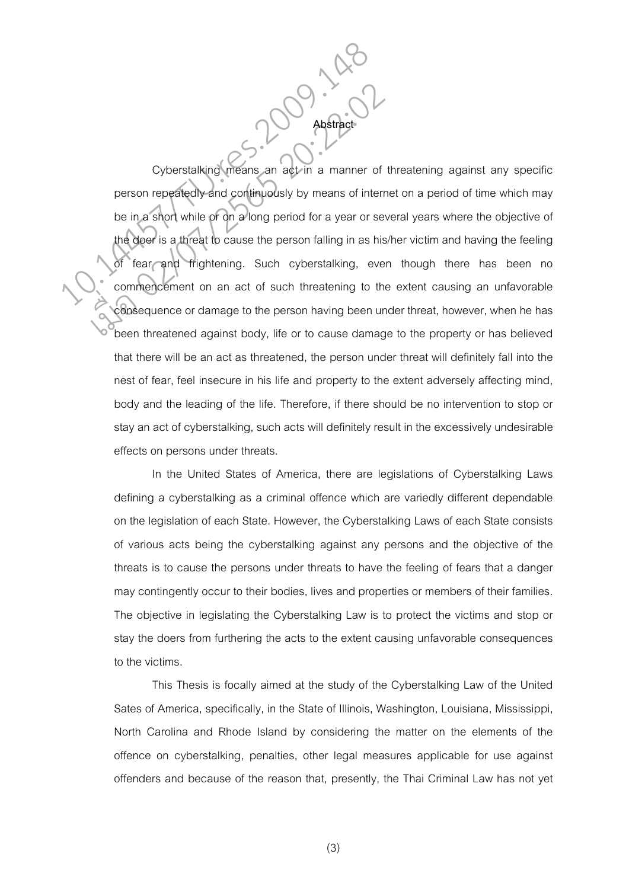Cyberstalking means an act in a manner of threatening against any specific person repeatedly and continuously by means of internet on a period of time which may be in a short while or on a long period for a year or several years where the objective of the doer is a threat to cause the person falling in as his/her victim and having the feeling of fear and frightening. Such cyberstalking, even though there has been no commencement on an act of such threatening to the extent causing an unfavorable consequence or damage to the person having been under threat, however, when he has been threatened against body, life or to cause damage to the property or has believed that there will be an act as threatened, the person under threat will definitely fall into the nest of fear, feel insecure in his life and property to the extent adversely affecting mind, body and the leading of the life. Therefore, if there should be no intervention to stop or stay an act of cyberstalking, such acts will definitely result in the excessively undesirable effects on persons under threats. Cyberstalking means an act in a manner of<br>person repeatedly-and continuously by means of inter<br>be in a short while of on a long period for a year or set<br>the doer is a threat to cause the person falling in as hi<br>of fear and Cyberstalking means an act in a manner of<br>person repeatedly and continuously by means of interr<br>be in a short while of on a long period for a year or set<br>the door is a threat to cause the person falling in as his<br>of fear a

Abstract C

 In the United States of America, there are legislations of Cyberstalking Laws defining a cyberstalking as a criminal offence which are variedly different dependable on the legislation of each State. However, the Cyberstalking Laws of each State consists of various acts being the cyberstalking against any persons and the objective of the threats is to cause the persons under threats to have the feeling of fears that a danger may contingently occur to their bodies, lives and properties or members of their families. The objective in legislating the Cyberstalking Law is to protect the victims and stop or stay the doers from furthering the acts to the extent causing unfavorable consequences to the victims.

 This Thesis is focally aimed at the study of the Cyberstalking Law of the United Sates of America, specifically, in the State of Illinois, Washington, Louisiana, Mississippi, North Carolina and Rhode Island by considering the matter on the elements of the offence on cyberstalking, penalties, other legal measures applicable for use against offenders and because of the reason that, presently, the Thai Criminal Law has not yet

(3)